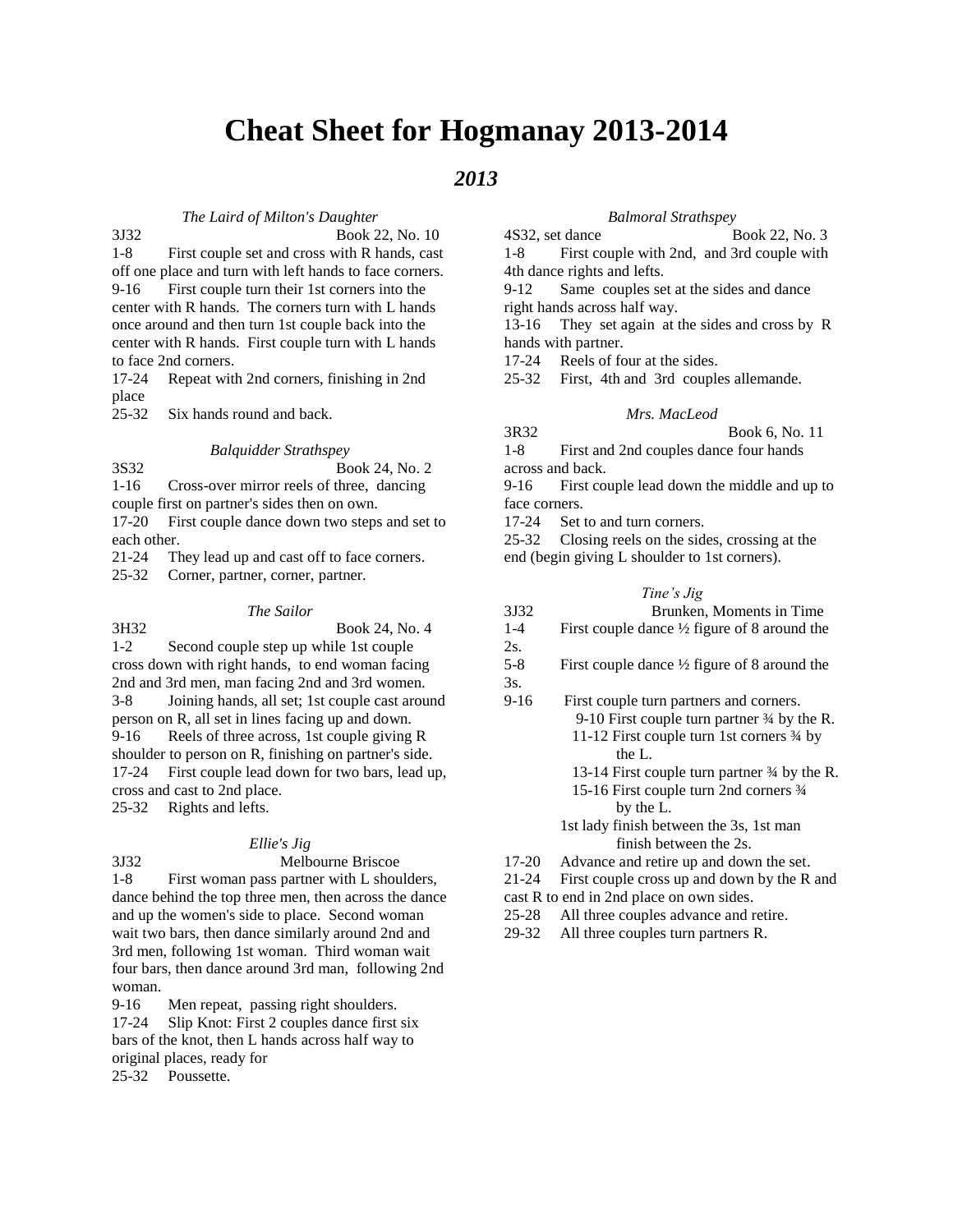# **Cheat Sheet for Hogmanay 2013-2014**

# *2013*

#### *The Laird of Milton's Daughter*

3J32 Book 22, No. 10

1-8 First couple set and cross with R hands, cast off one place and turn with left hands to face corners. 9-16 First couple turn their 1st corners into the center with R hands. The corners turn with L hands once around and then turn 1st couple back into the center with R hands. First couple turn with L hands to face 2nd corners.

17-24 Repeat with 2nd corners, finishing in 2nd place

25-32 Six hands round and back.

*Balquidder Strathspey* 3S32 Book 24, No. 2

1-16 Cross-over mirror reels of three, dancing couple first on partner's sides then on own.

17-20 First couple dance down two steps and set to each other.

21-24 They lead up and cast off to face corners.

25-32 Corner, partner, corner, partner.

#### *The Sailor*

| 3H32                                                  | Book 24, No. 4                                      |  |  |  |
|-------------------------------------------------------|-----------------------------------------------------|--|--|--|
| $1-2$                                                 | Second couple step up while 1st couple              |  |  |  |
|                                                       | cross down with right hands, to end woman facing    |  |  |  |
|                                                       | 2nd and 3rd men, man facing 2nd and 3rd women.      |  |  |  |
| $3-8$                                                 | Joining hands, all set; 1st couple cast around      |  |  |  |
| person on R, all set in lines facing up and down.     |                                                     |  |  |  |
| 9-16                                                  | Reels of three across, 1st couple giving R          |  |  |  |
| shoulder to person on R, finishing on partner's side. |                                                     |  |  |  |
|                                                       | 17-24 First couple lead down for two bars, lead up, |  |  |  |
| cross and cast to 2nd place.                          |                                                     |  |  |  |
|                                                       | 25-32 Rights and lefts.                             |  |  |  |

#### *Ellie's Jig*

3J32 Melbourne Briscoe 1-8 First woman pass partner with L shoulders, dance behind the top three men, then across the dance and up the women's side to place. Second woman wait two bars, then dance similarly around 2nd and 3rd men, following 1st woman. Third woman wait four bars, then dance around 3rd man, following 2nd woman.

9-16 Men repeat, passing right shoulders.

17-24 Slip Knot: First 2 couples dance first six bars of the knot, then L hands across half way to original places, ready for

25-32 Poussette.

#### *Balmoral Strathspey*

4S32, set dance Book 22, No. 3 1-8 First couple with 2nd, and 3rd couple with 4th dance rights and lefts.

9-12 Same couples set at the sides and dance right hands across half way.

13-16 They set again at the sides and cross by R hands with partner.

17-24 Reels of four at the sides.

25-32 First, 4th and 3rd couples allemande.

## *Mrs. MacLeod*

3R32 Book 6, No. 11 1-8 First and 2nd couples dance four hands

across and back. 9-16 First couple lead down the middle and up to

face corners. 17-24 Set to and turn corners.

25-32 Closing reels on the sides, crossing at the end (begin giving L shoulder to 1st corners).

# *Tine's Jig*

| 3J32 |  |  | Brunken, Moments in Time |  |
|------|--|--|--------------------------|--|
|      |  |  |                          |  |

- 1-4 First couple dance ½ figure of 8 around the
- 2s. 5-8 First couple dance ½ figure of 8 around the 3s.
- 9-16 First couple turn partners and corners. 9-10 First couple turn partner ¾ by the R. 11-12 First couple turn 1st corners ¾ by the L. 13-14 First couple turn partner ¾ by the R. 15-16 First couple turn 2nd corners ¾ by the L.

1st lady finish between the 3s, 1st man finish between the 2s.

17-20 Advance and retire up and down the set.

21-24 First couple cross up and down by the R and

- cast R to end in 2nd place on own sides.
- 25-28 All three couples advance and retire.
- 29-32 All three couples turn partners R.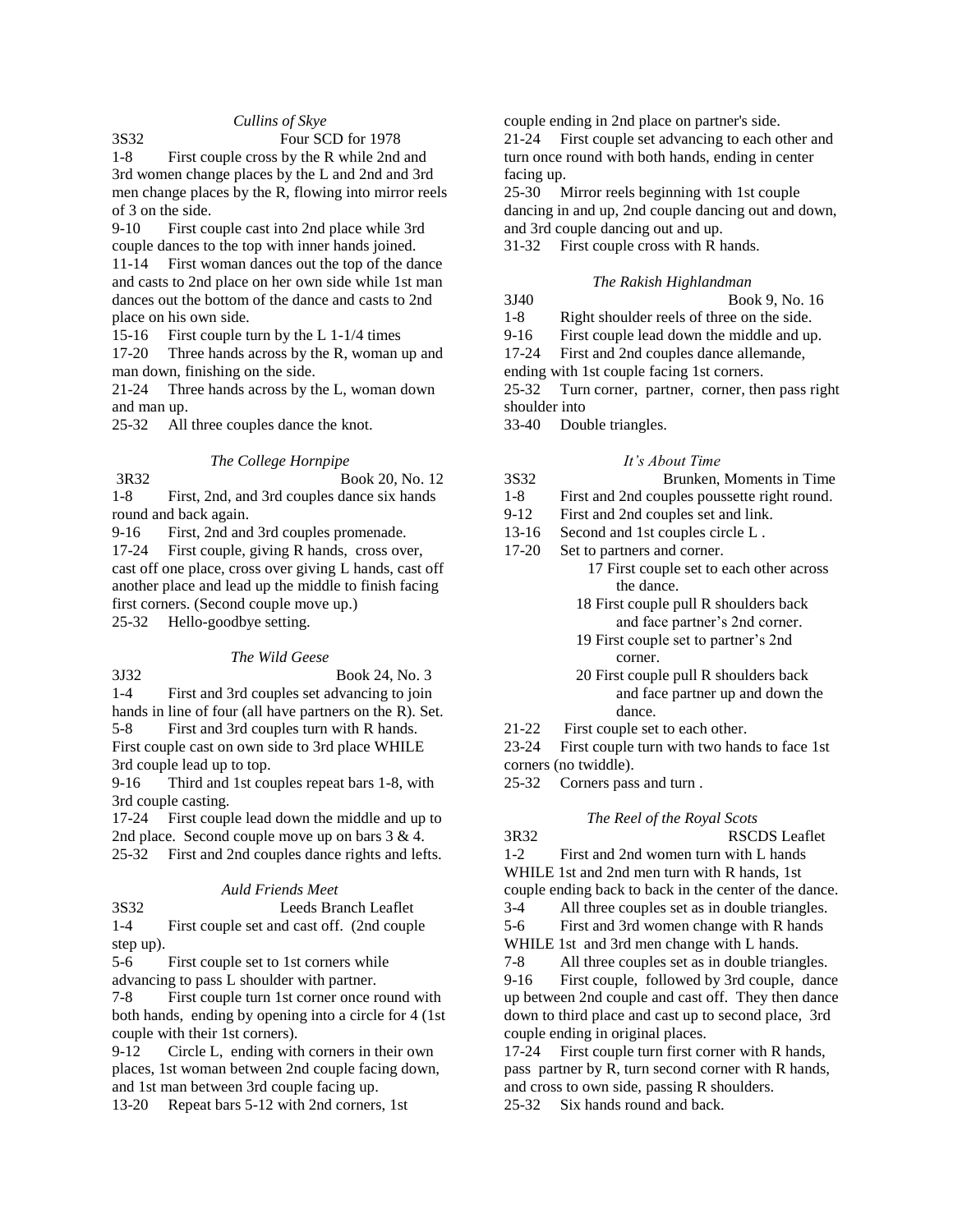# *Cullins of Skye*

# 3S32 Four SCD for 1978

1-8 First couple cross by the R while 2nd and 3rd women change places by the L and 2nd and 3rd men change places by the R, flowing into mirror reels of 3 on the side.

9-10 First couple cast into 2nd place while 3rd couple dances to the top with inner hands joined.

11-14 First woman dances out the top of the dance and casts to 2nd place on her own side while 1st man dances out the bottom of the dance and casts to 2nd place on his own side.

15-16 First couple turn by the L 1-1/4 times

17-20 Three hands across by the R, woman up and man down, finishing on the side.

21-24 Three hands across by the L, woman down and man up.

25-32 All three couples dance the knot.

#### *The College Hornpipe*

3R32 Book 20, No. 12 1-8 First, 2nd, and 3rd couples dance six hands round and back again.

9-16 First, 2nd and 3rd couples promenade.

17-24 First couple, giving R hands, cross over, cast off one place, cross over giving L hands, cast off another place and lead up the middle to finish facing first corners. (Second couple move up.)

25-32 Hello-goodbye setting.

## *The Wild Geese*

3J32 Book 24, No. 3

1-4 First and 3rd couples set advancing to join

hands in line of four (all have partners on the R). Set. 5-8 First and 3rd couples turn with R hands. First couple cast on own side to 3rd place WHILE 3rd couple lead up to top.

9-16 Third and 1st couples repeat bars 1-8, with 3rd couple casting.

17-24 First couple lead down the middle and up to 2nd place. Second couple move up on bars 3 & 4. 25-32 First and 2nd couples dance rights and lefts.

#### *Auld Friends Meet*

| 3S32    | Leeds Branch Leaflet                        |  |  |  |  |
|---------|---------------------------------------------|--|--|--|--|
| $1 - 4$ | First couple set and cast off. (2nd couple) |  |  |  |  |

step up).

5-6 First couple set to 1st corners while advancing to pass L shoulder with partner.

7-8 First couple turn 1st corner once round with both hands, ending by opening into a circle for 4 (1st couple with their 1st corners).

9-12 Circle L, ending with corners in their own places, 1st woman between 2nd couple facing down, and 1st man between 3rd couple facing up.

13-20 Repeat bars 5-12 with 2nd corners, 1st

couple ending in 2nd place on partner's side.

21-24 First couple set advancing to each other and turn once round with both hands, ending in center facing up.

25-30 Mirror reels beginning with 1st couple dancing in and up, 2nd couple dancing out and down, and 3rd couple dancing out and up.

31-32 First couple cross with R hands.

## *The Rakish Highlandman*

3J40 Book 9, No. 16

1-8 Right shoulder reels of three on the side.

9-16 First couple lead down the middle and up.

17-24 First and 2nd couples dance allemande,

ending with 1st couple facing 1st corners.

25-32 Turn corner, partner, corner, then pass right shoulder into

33-40 Double triangles.

## *It's About Time*

- 3S32 Brunken, Moments in Time
- 1-8 First and 2nd couples poussette right round.
- 9-12 First and 2nd couples set and link.
- 13-16 Second and 1st couples circle L .
- 17-20 Set to partners and corner.
	- 17 First couple set to each other across the dance.
	- 18 First couple pull R shoulders back and face partner's 2nd corner.
	- 19 First couple set to partner's 2nd corner.
	- 20 First couple pull R shoulders back and face partner up and down the dance.
- 21-22 First couple set to each other.
- 23-24 First couple turn with two hands to face 1st
- corners (no twiddle).
- 25-32 Corners pass and turn .
	- *The Reel of the Royal Scots*

3R32 RSCDS Leaflet 1-2 First and 2nd women turn with L hands WHILE 1st and 2nd men turn with R hands, 1st

couple ending back to back in the center of the dance.

3-4 All three couples set as in double triangles.

5-6 First and 3rd women change with R hands WHILE 1st and 3rd men change with L hands.

7-8 All three couples set as in double triangles.

9-16 First couple, followed by 3rd couple, dance up between 2nd couple and cast off. They then dance down to third place and cast up to second place, 3rd couple ending in original places.

17-24 First couple turn first corner with R hands, pass partner by R, turn second corner with R hands, and cross to own side, passing R shoulders.

25-32 Six hands round and back.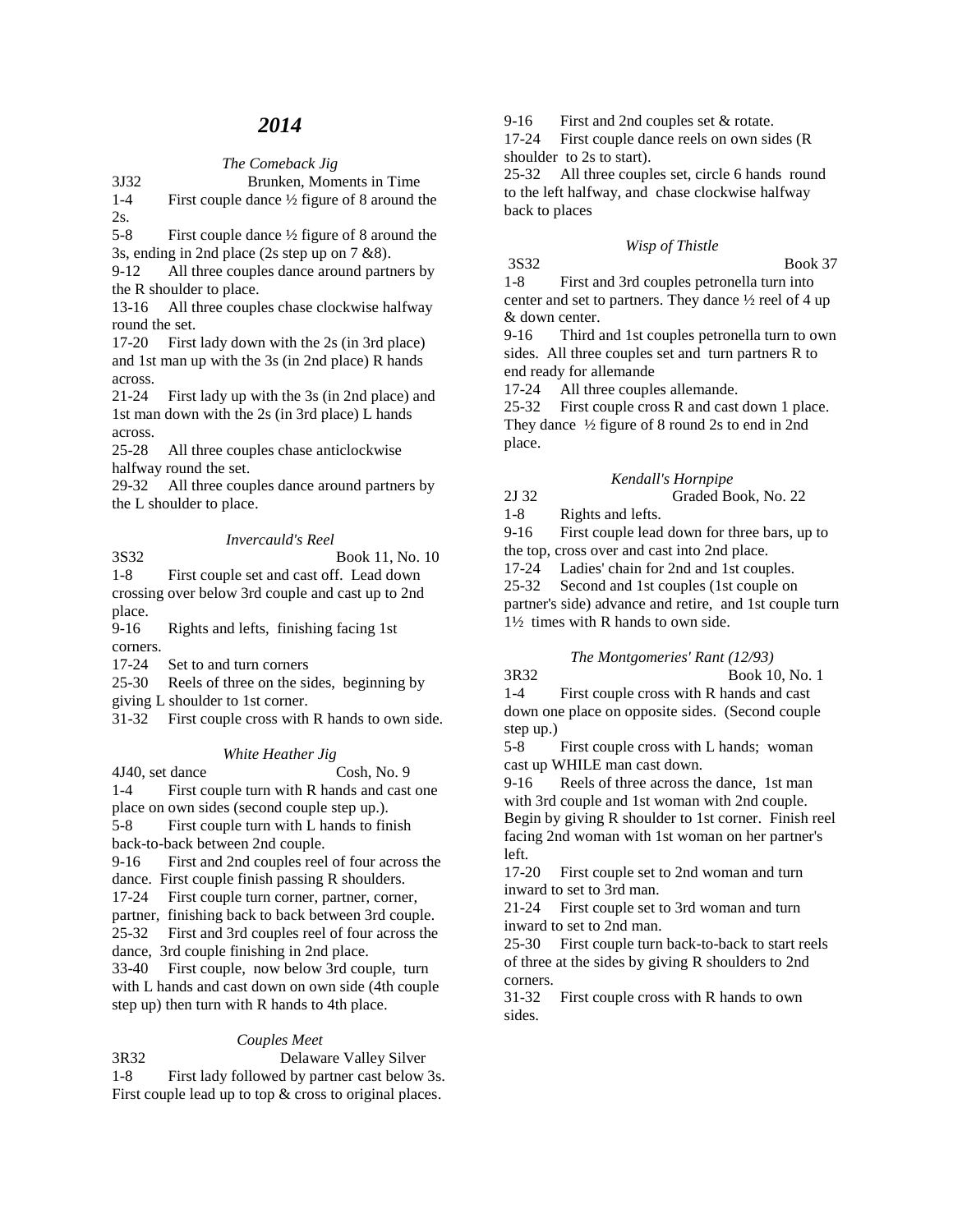# *2014*

## *The Comeback Jig*

3J32 Brunken, Moments in Time 1-4 First couple dance ½ figure of 8 around the 2s.

5-8 First couple dance ½ figure of 8 around the 3s, ending in 2nd place (2s step up on 7 &8).

9-12 All three couples dance around partners by the R shoulder to place.

13-16 All three couples chase clockwise halfway round the set.

17-20 First lady down with the 2s (in 3rd place) and 1st man up with the 3s (in 2nd place) R hands across.

21-24 First lady up with the 3s (in 2nd place) and 1st man down with the 2s (in 3rd place) L hands across.

25-28 All three couples chase anticlockwise halfway round the set.

29-32 All three couples dance around partners by the L shoulder to place.

# *Invercauld's Reel*

3S32 Book 11, No. 10

1-8 First couple set and cast off. Lead down crossing over below 3rd couple and cast up to 2nd place.

9-16 Rights and lefts, finishing facing 1st corners.

17-24 Set to and turn corners

25-30 Reels of three on the sides, beginning by

giving L shoulder to 1st corner.

31-32 First couple cross with R hands to own side.

# *White Heather Jig*

4J40, set dance Cosh, No. 9 1-4 First couple turn with R hands and cast one place on own sides (second couple step up.).

5-8 First couple turn with L hands to finish back-to-back between 2nd couple.

9-16 First and 2nd couples reel of four across the

dance. First couple finish passing R shoulders.

17-24 First couple turn corner, partner, corner,

partner, finishing back to back between 3rd couple.

25-32 First and 3rd couples reel of four across the

dance, 3rd couple finishing in 2nd place.

33-40 First couple, now below 3rd couple, turn with L hands and cast down on own side (4th couple step up) then turn with R hands to 4th place.

# *Couples Meet*

3R32 Delaware Valley Silver 1-8 First lady followed by partner cast below 3s. First couple lead up to top  $&$  cross to original places.

9-16 First and 2nd couples set & rotate.

17-24 First couple dance reels on own sides (R shoulder to 2s to start).

25-32 All three couples set, circle 6 hands round to the left halfway, and chase clockwise halfway back to places

## *Wisp of Thistle*

3S32 Book 37 1-8 First and 3rd couples petronella turn into center and set to partners. They dance ½ reel of 4 up & down center.

9-16 Third and 1st couples petronella turn to own sides. All three couples set and turn partners R to end ready for allemande

17-24 All three couples allemande.

25-32 First couple cross R and cast down 1 place. They dance ½ figure of 8 round 2s to end in 2nd place.

## *Kendall's Hornpipe*

2J 32 Graded Book, No. 22

1-8 Rights and lefts.

9-16 First couple lead down for three bars, up to the top, cross over and cast into 2nd place.

17-24 Ladies' chain for 2nd and 1st couples.

25-32 Second and 1st couples (1st couple on partner's side) advance and retire, and 1st couple turn 1½ times with R hands to own side.

# *The Montgomeries' Rant (12/93)*

3R32 Book 10, No. 1 1-4 First couple cross with R hands and cast down one place on opposite sides. (Second couple step up.)

5-8 First couple cross with L hands; woman cast up WHILE man cast down.

9-16 Reels of three across the dance, 1st man with 3rd couple and 1st woman with 2nd couple. Begin by giving R shoulder to 1st corner. Finish reel facing 2nd woman with 1st woman on her partner's left.

17-20 First couple set to 2nd woman and turn inward to set to 3rd man.

21-24 First couple set to 3rd woman and turn inward to set to 2nd man.

25-30 First couple turn back-to-back to start reels of three at the sides by giving R shoulders to 2nd corners.

31-32 First couple cross with R hands to own sides.